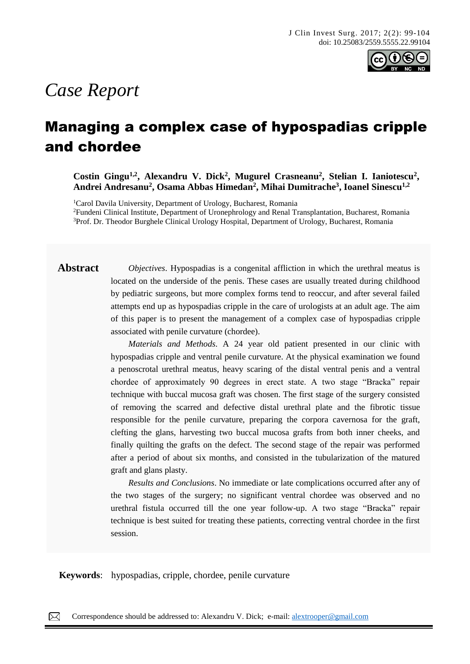

# *Case Report*

## Managing a complex case of hypospadias cripple and chordee

Costin Gingu<sup>1,2</sup>, Alexandru V. Dick<sup>2</sup>, Mugurel Crasneanu<sup>2</sup>, Stelian I. Ianiotescu<sup>2</sup>, **Andrei Andresanu<sup>2</sup> , Osama Abbas Himedan<sup>2</sup> , Mihai Dumitrache<sup>3</sup> , Ioanel Sinescu1,2**

<sup>1</sup>Carol Davila University, Department of Urology, Bucharest, Romania <sup>2</sup>Fundeni Clinical Institute, Department of Uronephrology and Renal Transplantation, Bucharest, Romania <sup>3</sup>Prof. Dr. Theodor Burghele Clinical Urology Hospital, Department of Urology, Bucharest, Romania

**Abstract** *Objectives*. Hypospadias is a congenital affliction in which the urethral meatus is located on the underside of the penis. These cases are usually treated during childhood by pediatric surgeons, but more complex forms tend to reoccur, and after several failed attempts end up as hypospadias cripple in the care of urologists at an adult age. The aim of this paper is to present the management of a complex case of hypospadias cripple associated with penile curvature (chordee).

> *Materials and Methods*. A 24 year old patient presented in our clinic with hypospadias cripple and ventral penile curvature. At the physical examination we found a penoscrotal urethral meatus, heavy scaring of the distal ventral penis and a ventral chordee of approximately 90 degrees in erect state. A two stage "Bracka" repair technique with buccal mucosa graft was chosen. The first stage of the surgery consisted of removing the scarred and defective distal urethral plate and the fibrotic tissue responsible for the penile curvature, preparing the corpora cavernosa for the graft, clefting the glans, harvesting two buccal mucosa grafts from both inner cheeks, and finally quilting the grafts on the defect. The second stage of the repair was performed after a period of about six months, and consisted in the tubularization of the matured graft and glans plasty.

> *Results and Conclusions*. No immediate or late complications occurred after any of the two stages of the surgery; no significant ventral chordee was observed and no urethral fistula occurred till the one year follow-up. A two stage "Bracka" repair technique is best suited for treating these patients, correcting ventral chordee in the first session.

**Keywords**: hypospadias, cripple, chordee, penile curvature

 $\boxtimes$ Correspondence should be addressed to: Alexandru V. Dick; e-mail: [alextrooper@gmail.com](mailto:alextrooper@gmail.com)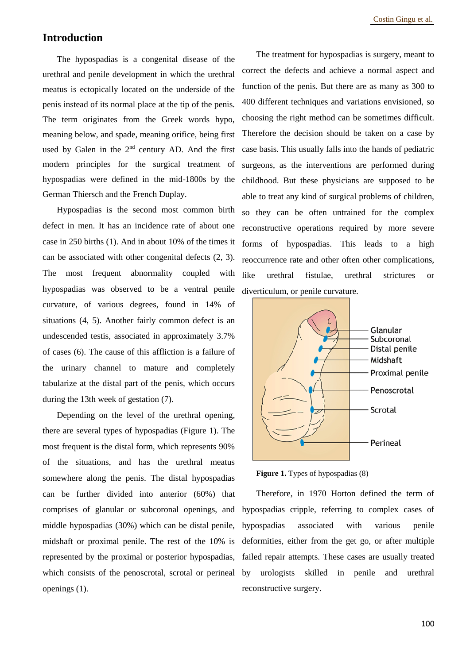#### **Introduction**

The hypospadias is a congenital disease of the urethral and penile development in which the urethral meatus is ectopically located on the underside of the penis instead of its normal place at the tip of the penis. The term originates from the Greek words hypo, meaning below, and spade, meaning orifice, being first used by Galen in the 2<sup>nd</sup> century AD. And the first modern principles for the surgical treatment of hypospadias were defined in the mid-1800s by the German Thiersch and the French Duplay.

Hypospadias is the second most common birth defect in men. It has an incidence rate of about one case in 250 births (1). And in about 10% of the times it can be associated with other congenital defects (2, 3). The most frequent abnormality coupled with hypospadias was observed to be a ventral penile curvature, of various degrees, found in 14% of situations (4, 5). Another fairly common defect is an undescended testis, associated in approximately 3.7% of cases (6). The cause of this affliction is a failure of the urinary channel to mature and completely tabularize at the distal part of the penis, which occurs during the 13th week of gestation (7).

Depending on the level of the urethral opening, there are several types of hypospadias (Figure 1). The most frequent is the distal form, which represents 90% of the situations, and has the urethral meatus somewhere along the penis. The distal hypospadias can be further divided into anterior (60%) that comprises of glanular or subcoronal openings, and middle hypospadias (30%) which can be distal penile, midshaft or proximal penile. The rest of the 10% is represented by the proximal or posterior hypospadias, which consists of the penoscrotal, scrotal or perineal openings (1).

The treatment for hypospadias is surgery, meant to correct the defects and achieve a normal aspect and function of the penis. But there are as many as 300 to 400 different techniques and variations envisioned, so choosing the right method can be sometimes difficult. Therefore the decision should be taken on a case by case basis. This usually falls into the hands of pediatric surgeons, as the interventions are performed during childhood. But these physicians are supposed to be able to treat any kind of surgical problems of children, so they can be often untrained for the complex reconstructive operations required by more severe forms of hypospadias. This leads to a high reoccurrence rate and other often other complications, like urethral fistulae, urethral strictures or diverticulum, or penile curvature.



**Figure 1.** Types of hypospadias (8)

Therefore, in 1970 Horton defined the term of hypospadias cripple, referring to complex cases of hypospadias associated with various penile deformities, either from the get go, or after multiple failed repair attempts. These cases are usually treated by urologists skilled in penile and urethral reconstructive surgery.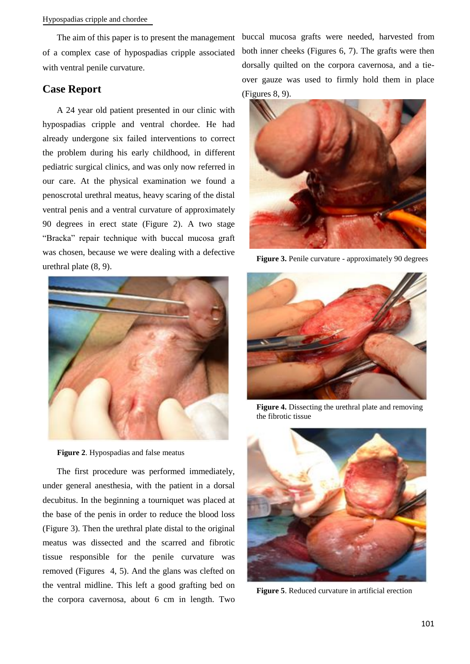of a complex case of hypospadias cripple associated with ventral penile curvature.

### **Case Report**

A 24 year old patient presented in our clinic with hypospadias cripple and ventral chordee. He had already undergone six failed interventions to correct the problem during his early childhood, in different pediatric surgical clinics, and was only now referred in our care. At the physical examination we found a penoscrotal urethral meatus, heavy scaring of the distal ventral penis and a ventral curvature of approximately 90 degrees in erect state (Figure 2). A two stage "Bracka" repair technique with buccal mucosa graft was chosen, because we were dealing with a defective urethral plate (8, 9).



**Figure 2**. Hypospadias and false meatus

The first procedure was performed immediately, under general anesthesia, with the patient in a dorsal decubitus. In the beginning a tourniquet was placed at the base of the penis in order to reduce the blood loss (Figure 3). Then the urethral plate distal to the original meatus was dissected and the scarred and fibrotic tissue responsible for the penile curvature was removed (Figures 4, 5). And the glans was clefted on the ventral midline. This left a good grafting bed on the corpora cavernosa, about 6 cm in length. Two

The aim of this paper is to present the management buccal mucosa grafts were needed, harvested from both inner cheeks (Figures 6, 7). The grafts were then dorsally quilted on the corpora cavernosa, and a tieover gauze was used to firmly hold them in place (Figures 8, 9).



**Figure 3.** Penile curvature - approximately 90 degrees



**Figure 4.** Dissecting the urethral plate and removing the fibrotic tissue



**Figure 5**. Reduced curvature in artificial erection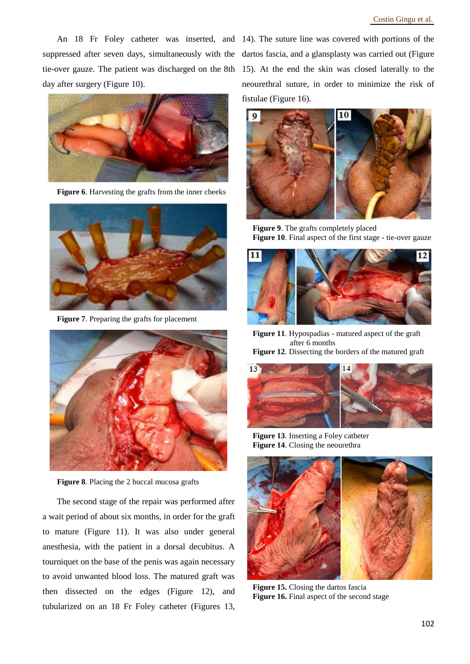An 18 Fr Foley catheter was inserted, and 14). The suture line was covered with portions of the day after surgery (Figure 10).



Figure 6. Harvesting the grafts from the inner cheeks



**Figure 7**. Preparing the grafts for placement



**Figure 8**. Placing the 2 buccal mucosa grafts

The second stage of the repair was performed after a wait period of about six months, in order for the graft to mature (Figure 11). It was also under general anesthesia, with the patient in a dorsal decubitus. A tourniquet on the base of the penis was again necessary to avoid unwanted blood loss. The matured graft was then dissected on the edges (Figure 12), and tubularized on an 18 Fr Foley catheter (Figures 13,

suppressed after seven days, simultaneously with the dartos fascia, and a glansplasty was carried out (Figure tie-over gauze. The patient was discharged on the 8th 15). At the end the skin was closed laterally to the neourethral suture, in order to minimize the risk of fistulae (Figure 16).



**Figure 9**. The grafts completely placed Figure 10. Final aspect of the first stage - tie-over gauze



**Figure 11**. Hypospadias - matured aspect of the graft after 6 months

**Figure 12**. Dissecting the borders of the matured graft



**Figure 13**. Inserting a Foley catheter **Figure 14**. Closing the neourethra



**Figure 15.** Closing the dartos fascia **Figure 16.** Final aspect of the second stage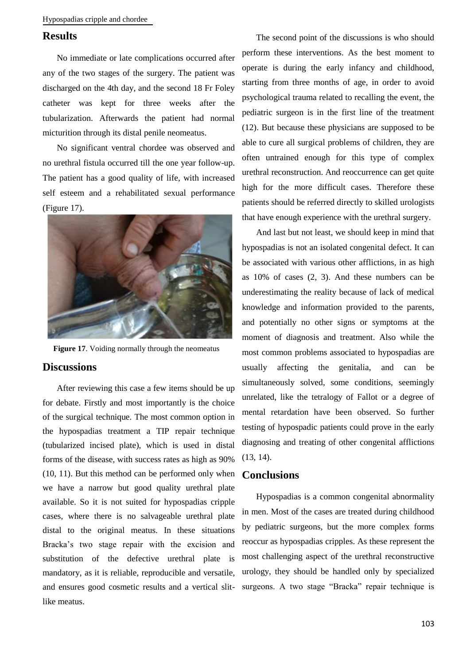Hypospadias cripple and chordee

#### **Results**

No immediate or late complications occurred after any of the two stages of the surgery. The patient was discharged on the 4th day, and the second 18 Fr Foley catheter was kept for three weeks after the tubularization. Afterwards the patient had normal micturition through its distal penile neomeatus.

No significant ventral chordee was observed and no urethral fistula occurred till the one year follow-up. The patient has a good quality of life, with increased self esteem and a rehabilitated sexual performance (Figure 17).



**Figure 17**. Voiding normally through the neomeatus

#### **Discussions**

After reviewing this case a few items should be up for debate. Firstly and most importantly is the choice of the surgical technique. The most common option in the hypospadias treatment a TIP repair technique (tubularized incised plate), which is used in distal forms of the disease, with success rates as high as 90% (10, 11). But this method can be performed only when we have a narrow but good quality urethral plate available. So it is not suited for hypospadias cripple cases, where there is no salvageable urethral plate distal to the original meatus. In these situations Bracka's two stage repair with the excision and substitution of the defective urethral plate is mandatory, as it is reliable, reproducible and versatile, and ensures good cosmetic results and a vertical slitlike meatus.

The second point of the discussions is who should perform these interventions. As the best moment to operate is during the early infancy and childhood, starting from three months of age, in order to avoid psychological trauma related to recalling the event, the pediatric surgeon is in the first line of the treatment (12). But because these physicians are supposed to be able to cure all surgical problems of children, they are often untrained enough for this type of complex urethral reconstruction. And reoccurrence can get quite high for the more difficult cases. Therefore these patients should be referred directly to skilled urologists that have enough experience with the urethral surgery.

And last but not least, we should keep in mind that hypospadias is not an isolated congenital defect. It can be associated with various other afflictions, in as high as 10% of cases (2, 3). And these numbers can be underestimating the reality because of lack of medical knowledge and information provided to the parents, and potentially no other signs or symptoms at the moment of diagnosis and treatment. Also while the most common problems associated to hypospadias are usually affecting the genitalia, and can be simultaneously solved, some conditions, seemingly unrelated, like the tetralogy of Fallot or a degree of mental retardation have been observed. So further testing of hypospadic patients could prove in the early diagnosing and treating of other congenital afflictions (13, 14).

#### **Conclusions**

Hypospadias is a common congenital abnormality in men. Most of the cases are treated during childhood by pediatric surgeons, but the more complex forms reoccur as hypospadias cripples. As these represent the most challenging aspect of the urethral reconstructive urology, they should be handled only by specialized surgeons. A two stage "Bracka" repair technique is